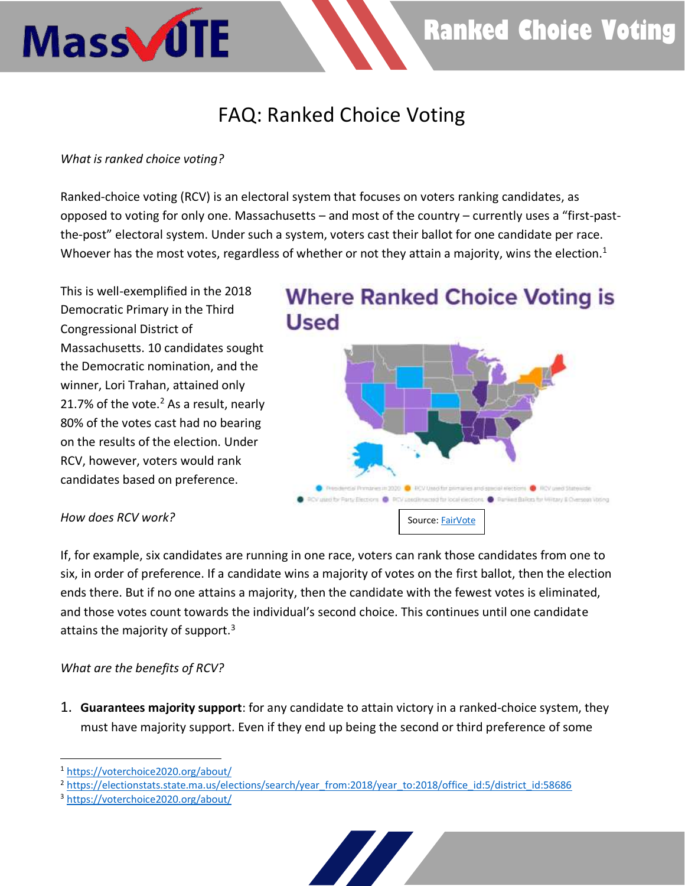# **Ranked Choice Voting**

## FAQ: Ranked Choice Voting

### *What is ranked choice voting?*

Mass JUTE

Ranked-choice voting (RCV) is an electoral system that focuses on voters ranking candidates, as opposed to voting for only one. Massachusetts – and most of the country – currently uses a "first-pastthe-post" electoral system. Under such a system, voters cast their ballot for one candidate per race. Whoever has the most votes, regardless of whether or not they attain a majority, wins the election.<sup>1</sup>

This is well-exemplified in the 2018 Democratic Primary in the Third Congressional District of Massachusetts. 10 candidates sought the Democratic nomination, and the winner, Lori Trahan, attained only 21.7% of the vote. $<sup>2</sup>$  As a result, nearly</sup> 80% of the votes cast had no bearing on the results of the election. Under RCV, however, voters would rank candidates based on preference.

# **Where Ranked Choice Voting is Used**



#### *How does RCV work?*

If, for example, six candidates are running in one race, voters can rank those candidates from one to six, in order of preference. If a candidate wins a majority of votes on the first ballot, then the election ends there. But if no one attains a majority, then the candidate with the fewest votes is eliminated, and those votes count towards the individual's second choice. This continues until one candidate attains the majority of support. $3$ 

#### *What are the benefits of RCV?*

1. **Guarantees majority support**: for any candidate to attain victory in a ranked-choice system, they must have majority support. Even if they end up being the second or third preference of some



<sup>1</sup> <https://voterchoice2020.org/about/>

<sup>&</sup>lt;sup>2</sup> [https://electionstats.state.ma.us/elections/search/year\\_from:2018/year\\_to:2018/office\\_id:5/district\\_id:58686](https://electionstats.state.ma.us/elections/search/year_from:2018/year_to:2018/office_id:5/district_id:58686)

<sup>3</sup> <https://voterchoice2020.org/about/>